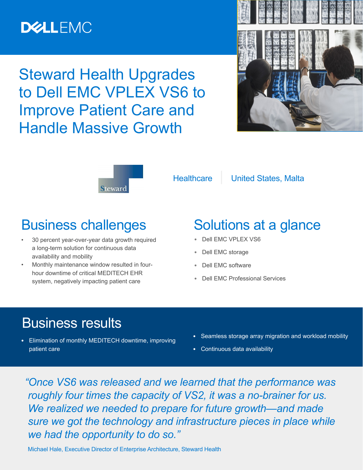## **DELLEMC**

Steward Health Upgrades to Dell EMC VPLEX VS6 to Improve Patient Care and Handle Massive Growth





Healthcare | United States, Malta

### Business challenges

- 30 percent year-over-year data growth required a long-term solution for continuous data availability and mobility
- Monthly maintenance window resulted in fourhour downtime of critical MEDITECH EHR system, negatively impacting patient care

## Solutions at a glance

- **•** Dell EMC VPLEX VS6
- **•** Dell EMC storage
- **•** Dell EMC software
- **•** Dell EMC Professional Services

### Business results

- **•** Elimination of monthly MEDITECH downtime, improving patient care
- **•** Seamless storage array migration and workload mobility
- **•** Continuous data availability

 *"Once VS6 was released and we learned that the performance was roughly four times the capacity of VS2, it was a no-brainer for us. We realized we needed to prepare for future growth—and made sure we got the technology and infrastructure pieces in place while we had the opportunity to do so."* 

Michael Hale, Executive Director of Enterprise Architecture, Steward Health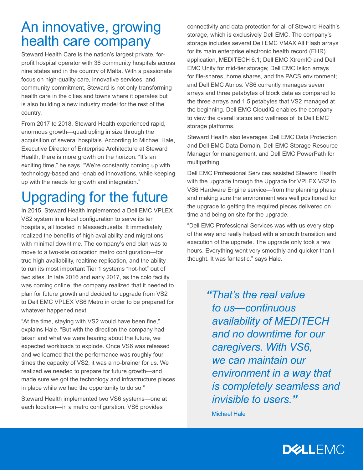### An innovative, growing health care company

Steward Health Care is the nation's largest private, forprofit hospital operator with 36 community hospitals across nine states and in the country of Malta. With a passionate focus on high-quality care, innovative services, and community commitment, Steward is not only transforming health care in the cities and towns where it operates but is also building a new industry model for the rest of the country.

From 2017 to 2018, Steward Health experienced rapid, enormous growth—quadrupling in size through the acquisition of several hospitals. According to Michael Hale, Executive Director of Enterprise Architecture at Steward Health, there is more growth on the horizon. "It's an exciting time," he says. "We're constantly coming up with technology-based and -enabled innovations, while keeping up with the needs for growth and integration."

# Upgrading for the future

In 2015, Steward Health implemented a Dell EMC VPLEX VS2 system in a local configuration to serve its ten hospitals, all located in Massachusetts. It immediately realized the benefits of high availability and migrations with minimal downtime. The company's end plan was to move to a two-site colocation metro configuration—for true high availability, realtime replication, and the ability to run its most important Tier 1 systems "hot-hot" out of two sites. In late 2016 and early 2017, as the colo facility was coming online, the company realized that it needed to plan for future growth and decided to upgrade from VS2 to Dell EMC VPLEX VS6 Metro in order to be prepared for whatever happened next.

"At the time, staying with VS2 would have been fine," explains Hale. "But with the direction the company had taken and what we were hearing about the future, we expected workloads to explode. Once VS6 was released and we learned that the performance was roughly four times the capacity of VS2, it was a no-brainer for us. We realized we needed to prepare for future growth—and made sure we got the technology and infrastructure pieces in place while we had the opportunity to do so."

Steward Health implemented two VS6 systems—one at each location—in a metro configuration. VS6 provides

connectivity and data protection for all of Steward Health's storage, which is exclusively Dell EMC. The company's storage includes several Dell EMC VMAX All Flash arrays for its main enterprise electronic health record (EHR) application, MEDITECH 6.1; Dell EMC XtremIO and Dell EMC Unity for mid-tier storage; Dell EMC Isilon arrays for file-shares, home shares, and the PACS environment; and Dell EMC Atmos. VS6 currently manages seven arrays and three petabytes of block data as compared to the three arrays and 1.5 petabytes that VS2 managed at the beginning. Dell EMC CloudIQ enables the company to view the overall status and wellness of its Dell EMC storage platforms.

Steward Health also leverages Dell EMC Data Protection and Dell EMC Data Domain, Dell EMC Storage Resource Manager for management, and Dell EMC PowerPath for multipathing.

Dell EMC Professional Services assisted Steward Health with the upgrade through the Upgrade for VPLEX VS2 to VS6 Hardware Engine service—from the planning phase and making sure the environment was well positioned for the upgrade to getting the required pieces delivered on time and being on site for the upgrade.

"Dell EMC Professional Services was with us every step of the way and really helped with a smooth transition and execution of the upgrade. The upgrade only took a few hours. Everything went very smoothly and quicker than I thought. It was fantastic," says Hale.

> *"That's the real value to us—continuous availability of MEDITECH and no downtime for our caregivers. With VS6, we can maintain our environment in a way that is completely seamless and invisible to users."*

Michael Hale

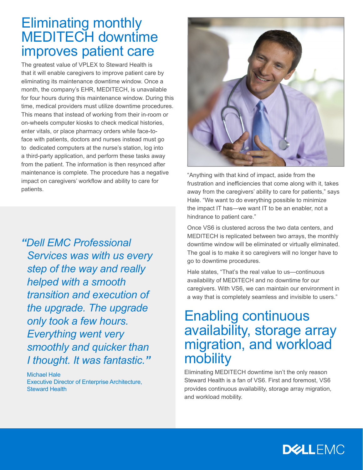#### Eliminating monthly MEDITECH downtime improves patient care

This means that instead of working from their in-room or on-wheels computer kiosks to check medical histories,<br>———————————————————— The greatest value of VPLEX to Steward Health is that it will enable caregivers to improve patient care by eliminating its maintenance downtime window. Once a month, the company's EHR, MEDITECH, is unavailable for four hours during this maintenance window. During this time, medical providers must utilize downtime procedures. enter vitals, or place pharmacy orders while face-toface with patients, doctors and nurses instead must go to dedicated computers at the nurse's station, log into a third-party application, and perform these tasks away from the patient. The information is then resynced after maintenance is complete. The procedure has a negative impact on caregivers' workflow and ability to care for patients.

*"Dell EMC Professional Services was with us every step of the way and really helped with a smooth transition and execution of the upgrade. The upgrade only took a few hours. Everything went very smoothly and quicker than I thought. It was fantastic."*

Michael Hale Executive Director of Enterprise Architecture, Steward Health



"Anything with that kind of impact, aside from the frustration and inefficiencies that come along with it, takes away from the caregivers' ability to care for patients," says Hale. "We want to do everything possible to minimize the impact IT has—we want IT to be an enabler, not a hindrance to patient care."

Once VS6 is clustered across the two data centers, and MEDITECH is replicated between two arrays, the monthly downtime window will be eliminated or virtually eliminated. The goal is to make it so caregivers will no longer have to go to downtime procedures.

Hale states, "That's the real value to us—continuous availability of MEDITECH and no downtime for our caregivers. With VS6, we can maintain our environment in a way that is completely seamless and invisible to users."

### Enabling continuous availability, storage array migration, and workload mobility

Eliminating MEDITECH downtime isn't the only reason Steward Health is a fan of VS6. First and foremost, VS6 provides continuous availability, storage array migration, and workload mobility.